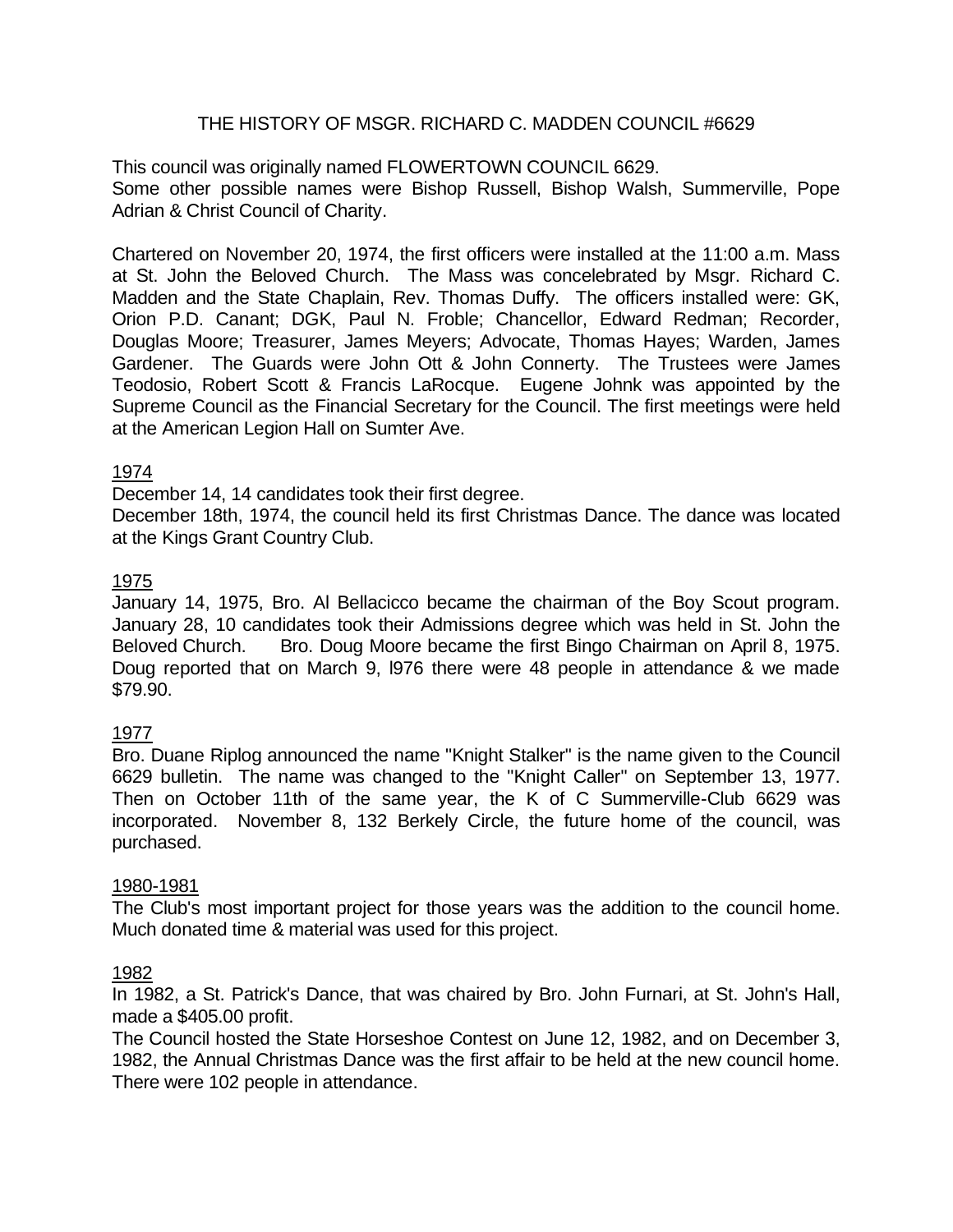### THE HISTORY OF MSGR. RICHARD C. MADDEN COUNCIL #6629

This council was originally named FLOWERTOWN COUNCIL 6629. Some other possible names were Bishop Russell, Bishop Walsh, Summerville, Pope Adrian & Christ Council of Charity.

Chartered on November 20, 1974, the first officers were installed at the 11:00 a.m. Mass at St. John the Beloved Church. The Mass was concelebrated by Msgr. Richard C. Madden and the State Chaplain, Rev. Thomas Duffy. The officers installed were: GK, Orion P.D. Canant; DGK, Paul N. Froble; Chancellor, Edward Redman; Recorder, Douglas Moore; Treasurer, James Meyers; Advocate, Thomas Hayes; Warden, James Gardener. The Guards were John Ott & John Connerty. The Trustees were James Teodosio, Robert Scott & Francis LaRocque. Eugene Johnk was appointed by the Supreme Council as the Financial Secretary for the Council. The first meetings were held at the American Legion Hall on Sumter Ave.

#### 1974

December 14, 14 candidates took their first degree.

December 18th, 1974, the council held its first Christmas Dance. The dance was located at the Kings Grant Country Club.

#### 1975

January 14, 1975, Bro. Al Bellacicco became the chairman of the Boy Scout program. January 28, 10 candidates took their Admissions degree which was held in St. John the Beloved Church. Bro. Doug Moore became the first Bingo Chairman on April 8, 1975. Doug reported that on March 9, l976 there were 48 people in attendance & we made \$79.90.

### 1977

Bro. Duane Riplog announced the name "Knight Stalker" is the name given to the Council 6629 bulletin. The name was changed to the "Knight Caller" on September 13, 1977. Then on October 11th of the same year, the K of C Summerville-Club 6629 was incorporated. November 8, 132 Berkely Circle, the future home of the council, was purchased.

#### 1980-1981

The Club's most important project for those years was the addition to the council home. Much donated time & material was used for this project.

#### 1982

In 1982, a St. Patrick's Dance, that was chaired by Bro. John Furnari, at St. John's Hall, made a \$405.00 profit.

The Council hosted the State Horseshoe Contest on June 12, 1982, and on December 3, 1982, the Annual Christmas Dance was the first affair to be held at the new council home. There were 102 people in attendance.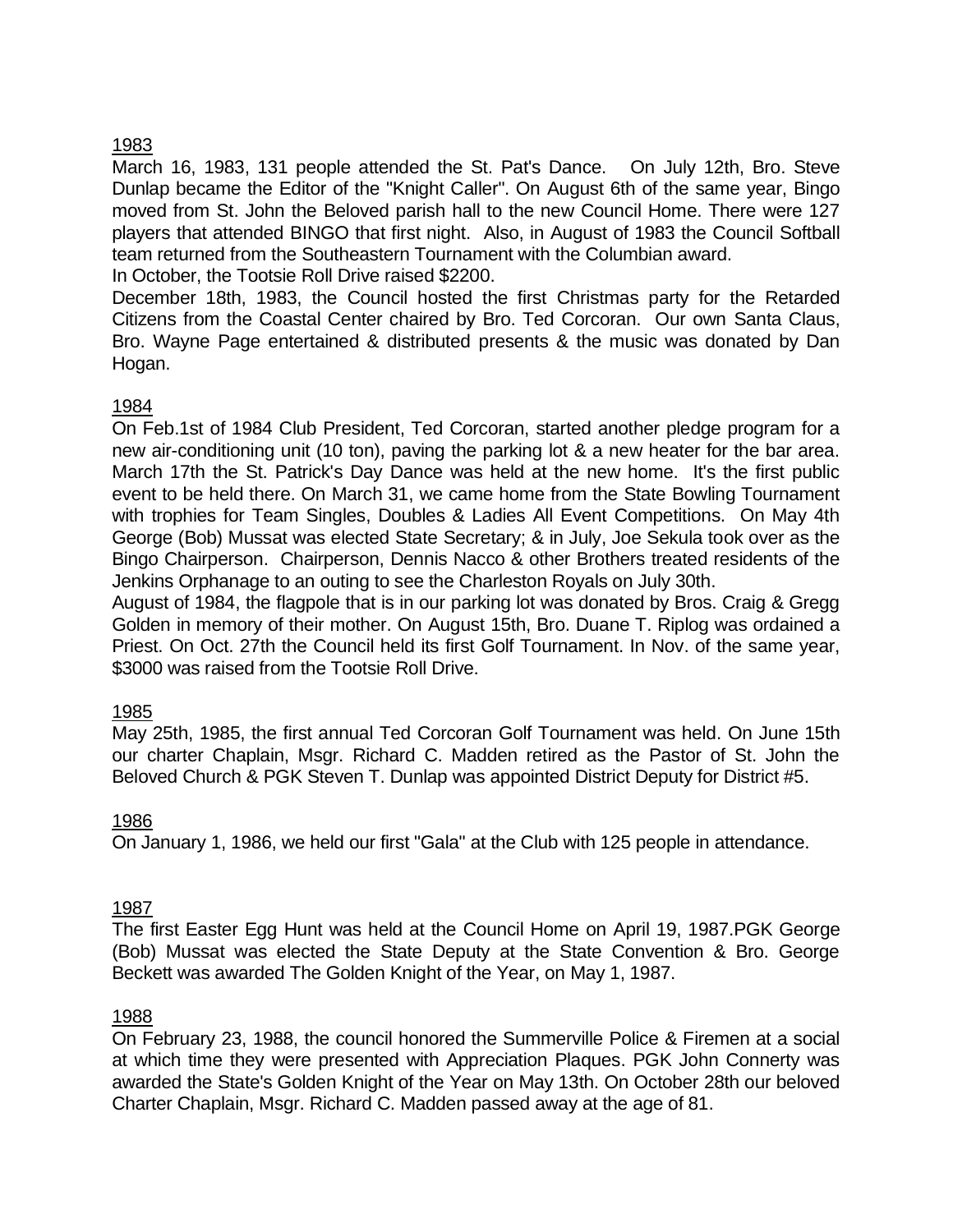### 1983

March 16, 1983, 131 people attended the St. Pat's Dance. On July 12th, Bro. Steve Dunlap became the Editor of the "Knight Caller". On August 6th of the same year, Bingo moved from St. John the Beloved parish hall to the new Council Home. There were 127 players that attended BINGO that first night. Also, in August of 1983 the Council Softball team returned from the Southeastern Tournament with the Columbian award. In October, the Tootsie Roll Drive raised \$2200.

December 18th, 1983, the Council hosted the first Christmas party for the Retarded Citizens from the Coastal Center chaired by Bro. Ted Corcoran. Our own Santa Claus, Bro. Wayne Page entertained & distributed presents & the music was donated by Dan Hogan.

### 1984

On Feb.1st of 1984 Club President, Ted Corcoran, started another pledge program for a new air-conditioning unit (10 ton), paving the parking lot & a new heater for the bar area. March 17th the St. Patrick's Day Dance was held at the new home. It's the first public event to be held there. On March 31, we came home from the State Bowling Tournament with trophies for Team Singles, Doubles & Ladies All Event Competitions. On May 4th George (Bob) Mussat was elected State Secretary; & in July, Joe Sekula took over as the Bingo Chairperson. Chairperson, Dennis Nacco & other Brothers treated residents of the Jenkins Orphanage to an outing to see the Charleston Royals on July 30th.

August of 1984, the flagpole that is in our parking lot was donated by Bros. Craig & Gregg Golden in memory of their mother. On August 15th, Bro. Duane T. Riplog was ordained a Priest. On Oct. 27th the Council held its first Golf Tournament. In Nov. of the same year, \$3000 was raised from the Tootsie Roll Drive.

### 1985

May 25th, 1985, the first annual Ted Corcoran Golf Tournament was held. On June 15th our charter Chaplain, Msgr. Richard C. Madden retired as the Pastor of St. John the Beloved Church & PGK Steven T. Dunlap was appointed District Deputy for District #5.

### 1986

On January 1, 1986, we held our first "Gala" at the Club with 125 people in attendance.

### 1987

The first Easter Egg Hunt was held at the Council Home on April 19, 1987.PGK George (Bob) Mussat was elected the State Deputy at the State Convention & Bro. George Beckett was awarded The Golden Knight of the Year, on May 1, 1987.

### 1988

On February 23, 1988, the council honored the Summerville Police & Firemen at a social at which time they were presented with Appreciation Plaques. PGK John Connerty was awarded the State's Golden Knight of the Year on May 13th. On October 28th our beloved Charter Chaplain, Msgr. Richard C. Madden passed away at the age of 81.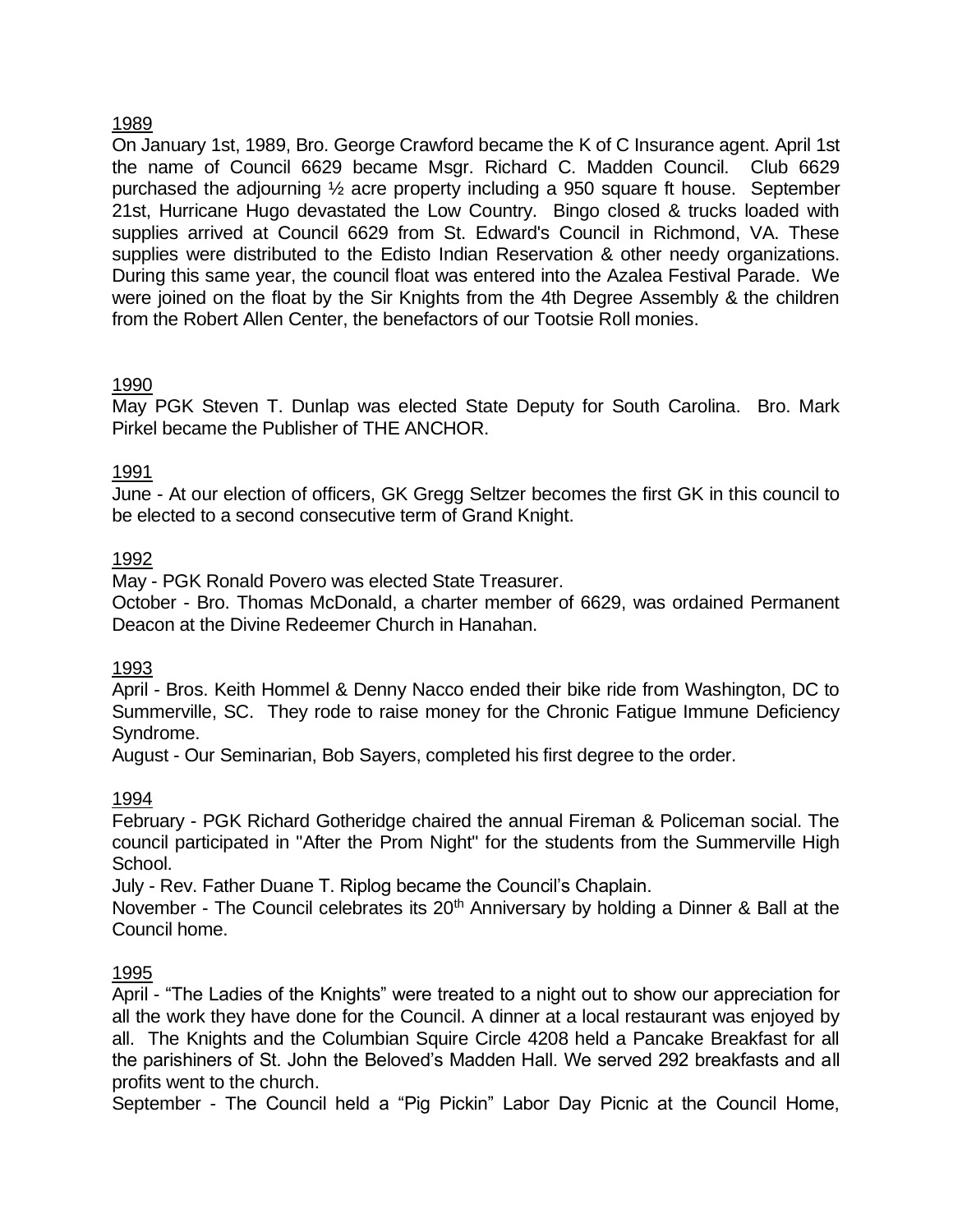### 1989

On January 1st, 1989, Bro. George Crawford became the K of C Insurance agent. April 1st the name of Council 6629 became Msgr. Richard C. Madden Council. Club 6629 purchased the adjourning ½ acre property including a 950 square ft house. September 21st, Hurricane Hugo devastated the Low Country. Bingo closed & trucks loaded with supplies arrived at Council 6629 from St. Edward's Council in Richmond, VA. These supplies were distributed to the Edisto Indian Reservation & other needy organizations. During this same year, the council float was entered into the Azalea Festival Parade. We were joined on the float by the Sir Knights from the 4th Degree Assembly & the children from the Robert Allen Center, the benefactors of our Tootsie Roll monies.

## 1990

May PGK Steven T. Dunlap was elected State Deputy for South Carolina. Bro. Mark Pirkel became the Publisher of THE ANCHOR.

### 1991

June - At our election of officers, GK Gregg Seltzer becomes the first GK in this council to be elected to a second consecutive term of Grand Knight.

### 1992

May - PGK Ronald Povero was elected State Treasurer.

October - Bro. Thomas McDonald, a charter member of 6629, was ordained Permanent Deacon at the Divine Redeemer Church in Hanahan.

### 1993

April - Bros. Keith Hommel & Denny Nacco ended their bike ride from Washington, DC to Summerville, SC. They rode to raise money for the Chronic Fatigue Immune Deficiency Syndrome.

August - Our Seminarian, Bob Sayers, completed his first degree to the order.

### 1994

February - PGK Richard Gotheridge chaired the annual Fireman & Policeman social. The council participated in "After the Prom Night" for the students from the Summerville High School.

July - Rev. Father Duane T. Riplog became the Council's Chaplain.

November - The Council celebrates its 20<sup>th</sup> Anniversary by holding a Dinner & Ball at the Council home.

### 1995

April - "The Ladies of the Knights" were treated to a night out to show our appreciation for all the work they have done for the Council. A dinner at a local restaurant was enjoyed by all. The Knights and the Columbian Squire Circle 4208 held a Pancake Breakfast for all the parishiners of St. John the Beloved's Madden Hall. We served 292 breakfasts and all profits went to the church.

September - The Council held a "Pig Pickin" Labor Day Picnic at the Council Home,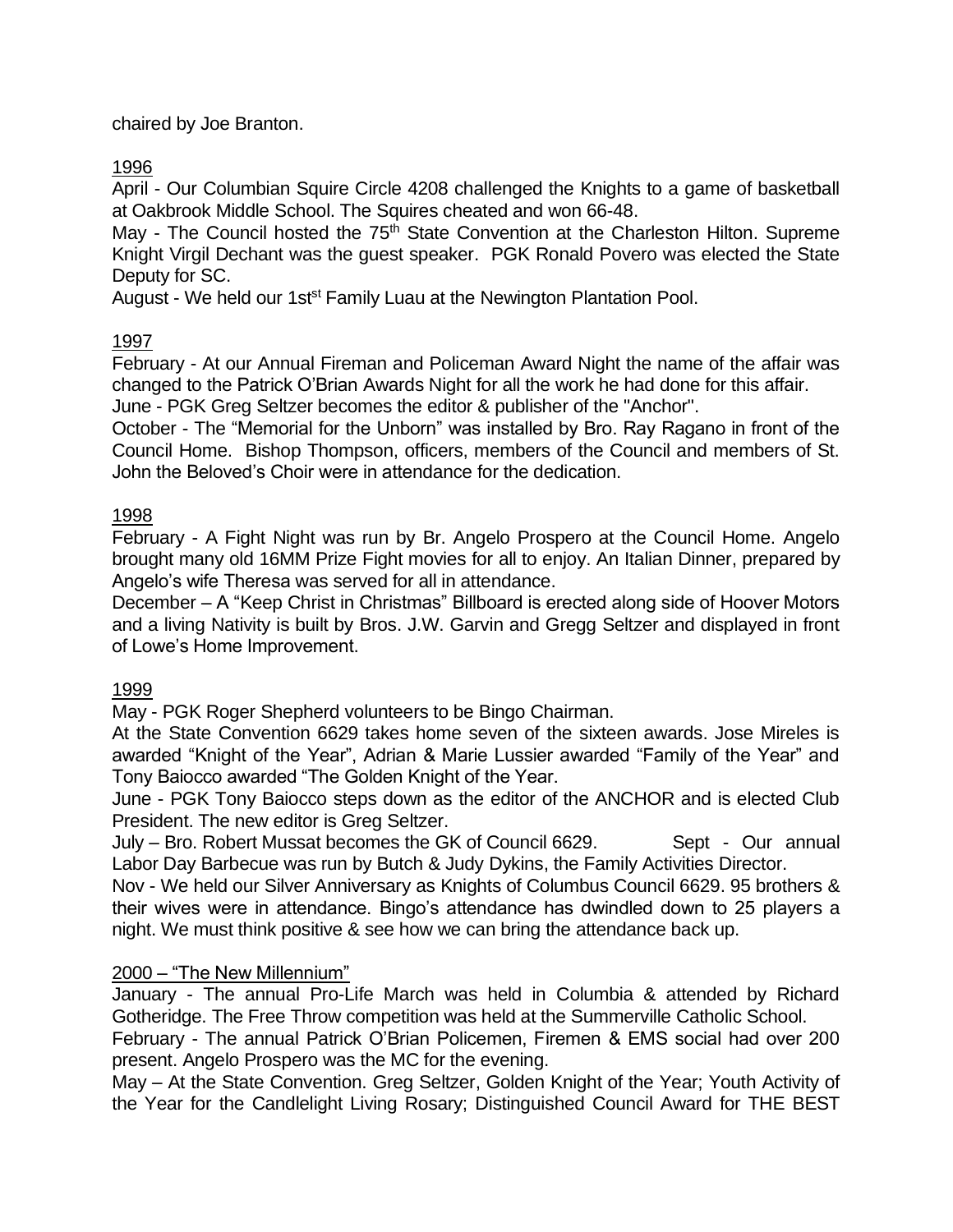chaired by Joe Branton.

## 1996

April - Our Columbian Squire Circle 4208 challenged the Knights to a game of basketball at Oakbrook Middle School. The Squires cheated and won 66-48.

May - The Council hosted the 75<sup>th</sup> State Convention at the Charleston Hilton. Supreme Knight Virgil Dechant was the guest speaker. PGK Ronald Povero was elected the State Deputy for SC.

August - We held our 1st<sup>st</sup> Family Luau at the Newington Plantation Pool.

## 1997

February - At our Annual Fireman and Policeman Award Night the name of the affair was changed to the Patrick O'Brian Awards Night for all the work he had done for this affair. June - PGK Greg Seltzer becomes the editor & publisher of the "Anchor".

October - The "Memorial for the Unborn" was installed by Bro. Ray Ragano in front of the Council Home. Bishop Thompson, officers, members of the Council and members of St. John the Beloved's Choir were in attendance for the dedication.

## 1998

February - A Fight Night was run by Br. Angelo Prospero at the Council Home. Angelo brought many old 16MM Prize Fight movies for all to enjoy. An Italian Dinner, prepared by Angelo's wife Theresa was served for all in attendance.

December – A "Keep Christ in Christmas" Billboard is erected along side of Hoover Motors and a living Nativity is built by Bros. J.W. Garvin and Gregg Seltzer and displayed in front of Lowe's Home Improvement.

## 1999

May - PGK Roger Shepherd volunteers to be Bingo Chairman.

At the State Convention 6629 takes home seven of the sixteen awards. Jose Mireles is awarded "Knight of the Year", Adrian & Marie Lussier awarded "Family of the Year" and Tony Baiocco awarded "The Golden Knight of the Year.

June - PGK Tony Baiocco steps down as the editor of the ANCHOR and is elected Club President. The new editor is Greg Seltzer.

July – Bro. Robert Mussat becomes the GK of Council 6629. Sept - Our annual Labor Day Barbecue was run by Butch & Judy Dykins, the Family Activities Director.

Nov - We held our Silver Anniversary as Knights of Columbus Council 6629. 95 brothers & their wives were in attendance. Bingo's attendance has dwindled down to 25 players a night. We must think positive & see how we can bring the attendance back up.

### 2000 – "The New Millennium"

January - The annual Pro-Life March was held in Columbia & attended by Richard Gotheridge. The Free Throw competition was held at the Summerville Catholic School.

February - The annual Patrick O'Brian Policemen, Firemen & EMS social had over 200 present. Angelo Prospero was the MC for the evening.

May – At the State Convention. Greg Seltzer, Golden Knight of the Year; Youth Activity of the Year for the Candlelight Living Rosary; Distinguished Council Award for THE BEST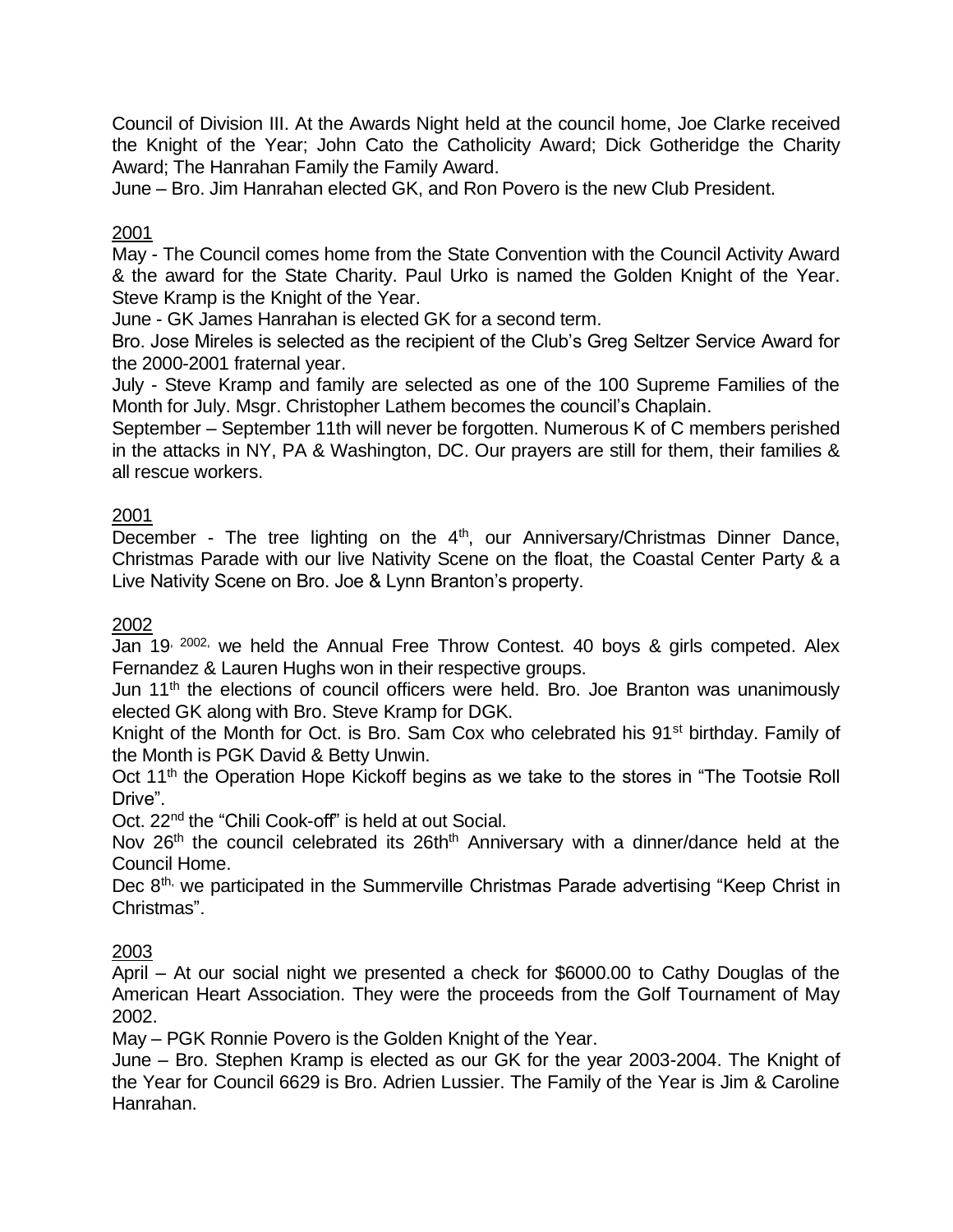Council of Division III. At the Awards Night held at the council home, Joe Clarke received the Knight of the Year; John Cato the Catholicity Award; Dick Gotheridge the Charity Award; The Hanrahan Family the Family Award.

June – Bro. Jim Hanrahan elected GK, and Ron Povero is the new Club President.

# 2001

May - The Council comes home from the State Convention with the Council Activity Award & the award for the State Charity. Paul Urko is named the Golden Knight of the Year. Steve Kramp is the Knight of the Year.

June - GK James Hanrahan is elected GK for a second term.

Bro. Jose Mireles is selected as the recipient of the Club's Greg Seltzer Service Award for the 2000-2001 fraternal year.

July - Steve Kramp and family are selected as one of the 100 Supreme Families of the Month for July. Msgr. Christopher Lathem becomes the council's Chaplain.

September – September 11th will never be forgotten. Numerous K of C members perished in the attacks in NY, PA & Washington, DC. Our prayers are still for them, their families & all rescue workers.

## 2001

December - The tree lighting on the 4<sup>th</sup>, our Anniversary/Christmas Dinner Dance, Christmas Parade with our live Nativity Scene on the float, the Coastal Center Party & a Live Nativity Scene on Bro. Joe & Lynn Branton's property.

### 2002

Jan 19<sup>, 2002,</sup> we held the Annual Free Throw Contest. 40 boys & girls competed. Alex Fernandez & Lauren Hughs won in their respective groups.

Jun 11<sup>th</sup> the elections of council officers were held. Bro. Joe Branton was unanimously elected GK along with Bro. Steve Kramp for DGK.

Knight of the Month for Oct. is Bro. Sam Cox who celebrated his 91<sup>st</sup> birthday. Family of the Month is PGK David & Betty Unwin.

Oct 11<sup>th</sup> the Operation Hope Kickoff begins as we take to the stores in "The Tootsie Roll Drive".

Oct. 22<sup>nd</sup> the "Chili Cook-off" is held at out Social.

Nov 26<sup>th</sup> the council celebrated its 26th<sup>th</sup> Anniversary with a dinner/dance held at the Council Home.

Dec 8<sup>th,</sup> we participated in the Summerville Christmas Parade advertising "Keep Christ in Christmas".

### 2003

April – At our social night we presented a check for \$6000.00 to Cathy Douglas of the American Heart Association. They were the proceeds from the Golf Tournament of May 2002.

May – PGK Ronnie Povero is the Golden Knight of the Year.

June – Bro. Stephen Kramp is elected as our GK for the year 2003-2004. The Knight of the Year for Council 6629 is Bro. Adrien Lussier. The Family of the Year is Jim & Caroline Hanrahan.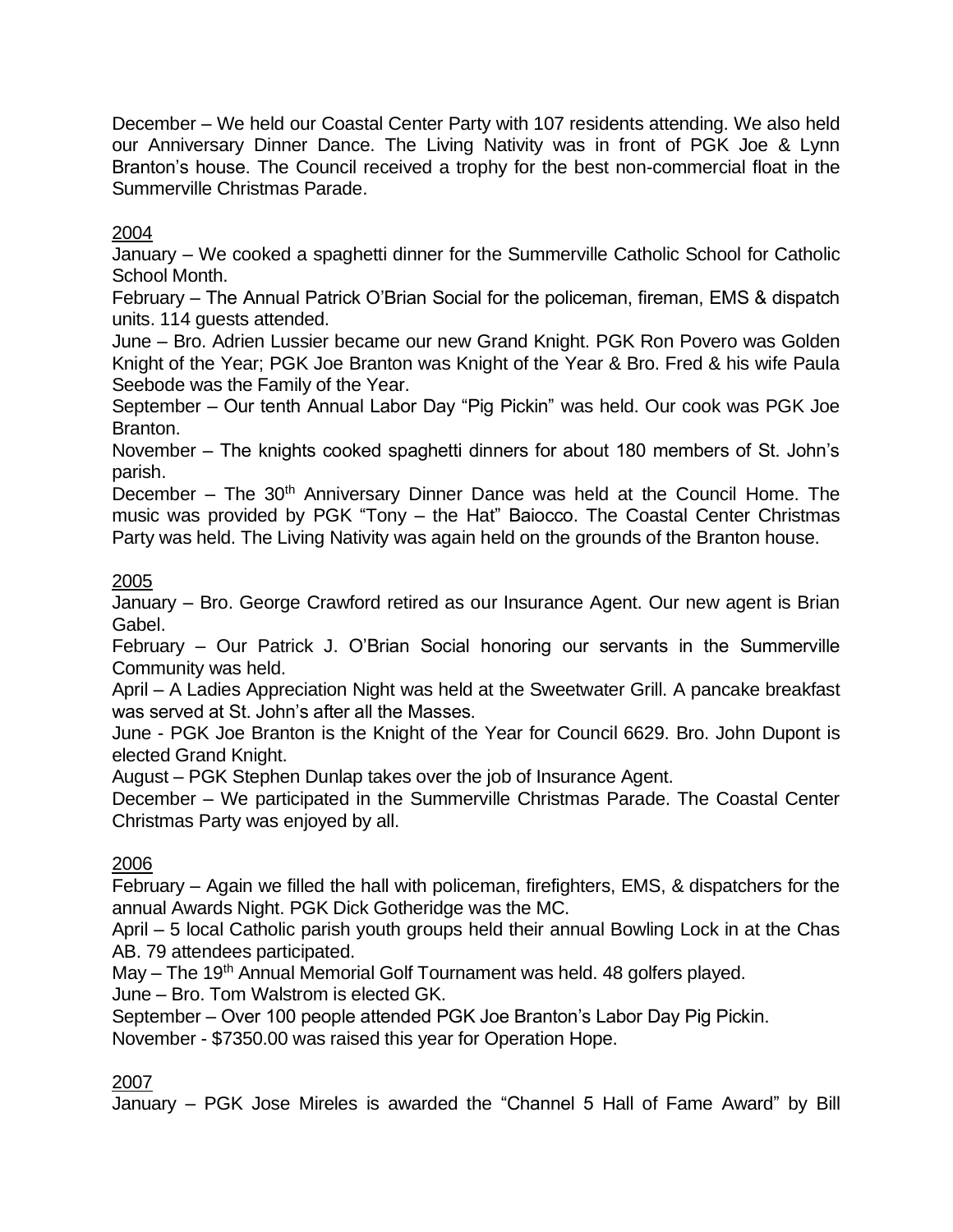December – We held our Coastal Center Party with 107 residents attending. We also held our Anniversary Dinner Dance. The Living Nativity was in front of PGK Joe & Lynn Branton's house. The Council received a trophy for the best non-commercial float in the Summerville Christmas Parade.

# 2004

January – We cooked a spaghetti dinner for the Summerville Catholic School for Catholic School Month.

February – The Annual Patrick O'Brian Social for the policeman, fireman, EMS & dispatch units. 114 guests attended.

June – Bro. Adrien Lussier became our new Grand Knight. PGK Ron Povero was Golden Knight of the Year; PGK Joe Branton was Knight of the Year & Bro. Fred & his wife Paula Seebode was the Family of the Year.

September – Our tenth Annual Labor Day "Pig Pickin" was held. Our cook was PGK Joe Branton.

November – The knights cooked spaghetti dinners for about 180 members of St. John's parish.

December – The  $30<sup>th</sup>$  Anniversary Dinner Dance was held at the Council Home. The music was provided by PGK "Tony – the Hat" Baiocco. The Coastal Center Christmas Party was held. The Living Nativity was again held on the grounds of the Branton house.

## 2005

January – Bro. George Crawford retired as our Insurance Agent. Our new agent is Brian Gabel.

February – Our Patrick J. O'Brian Social honoring our servants in the Summerville Community was held.

April – A Ladies Appreciation Night was held at the Sweetwater Grill. A pancake breakfast was served at St. John's after all the Masses.

June - PGK Joe Branton is the Knight of the Year for Council 6629. Bro. John Dupont is elected Grand Knight.

August – PGK Stephen Dunlap takes over the job of Insurance Agent.

December – We participated in the Summerville Christmas Parade. The Coastal Center Christmas Party was enjoyed by all.

# 2006

February – Again we filled the hall with policeman, firefighters, EMS, & dispatchers for the annual Awards Night. PGK Dick Gotheridge was the MC.

April – 5 local Catholic parish youth groups held their annual Bowling Lock in at the Chas AB. 79 attendees participated.

May – The 19<sup>th</sup> Annual Memorial Golf Tournament was held. 48 golfers played.

June – Bro. Tom Walstrom is elected GK.

September – Over 100 people attended PGK Joe Branton's Labor Day Pig Pickin.

November - \$7350.00 was raised this year for Operation Hope.

# 2007

January – PGK Jose Mireles is awarded the "Channel 5 Hall of Fame Award" by Bill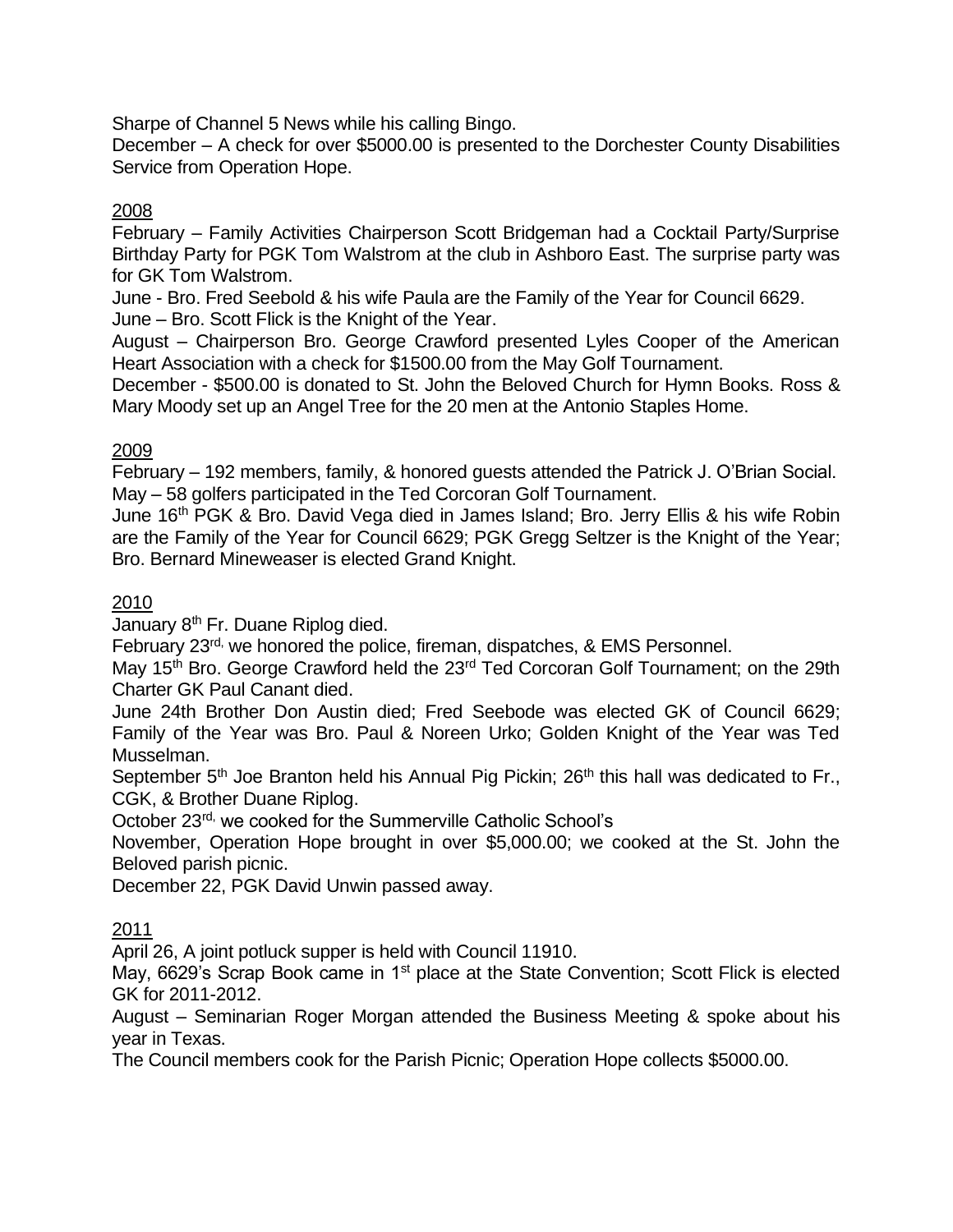Sharpe of Channel 5 News while his calling Bingo.

December – A check for over \$5000.00 is presented to the Dorchester County Disabilities Service from Operation Hope.

## 2008

February – Family Activities Chairperson Scott Bridgeman had a Cocktail Party/Surprise Birthday Party for PGK Tom Walstrom at the club in Ashboro East. The surprise party was for GK Tom Walstrom.

June - Bro. Fred Seebold & his wife Paula are the Family of the Year for Council 6629.

June – Bro. Scott Flick is the Knight of the Year.

August – Chairperson Bro. George Crawford presented Lyles Cooper of the American Heart Association with a check for \$1500.00 from the May Golf Tournament.

December - \$500.00 is donated to St. John the Beloved Church for Hymn Books. Ross & Mary Moody set up an Angel Tree for the 20 men at the Antonio Staples Home.

### 2009

February – 192 members, family, & honored guests attended the Patrick J. O'Brian Social. May – 58 golfers participated in the Ted Corcoran Golf Tournament.

June 16<sup>th</sup> PGK & Bro. David Vega died in James Island; Bro. Jerry Ellis & his wife Robin are the Family of the Year for Council 6629; PGK Gregg Seltzer is the Knight of the Year; Bro. Bernard Mineweaser is elected Grand Knight.

## 2010

January 8<sup>th</sup> Fr. Duane Riplog died.

February 23rd, we honored the police, fireman, dispatches, & EMS Personnel.

May 15<sup>th</sup> Bro. George Crawford held the 23<sup>rd</sup> Ted Corcoran Golf Tournament; on the 29th Charter GK Paul Canant died.

June 24th Brother Don Austin died; Fred Seebode was elected GK of Council 6629; Family of the Year was Bro. Paul & Noreen Urko; Golden Knight of the Year was Ted Musselman.

September 5<sup>th</sup> Joe Branton held his Annual Pig Pickin; 26<sup>th</sup> this hall was dedicated to Fr., CGK, & Brother Duane Riplog.

October 23rd, we cooked for the Summerville Catholic School's

November, Operation Hope brought in over \$5,000.00; we cooked at the St. John the Beloved parish picnic.

December 22, PGK David Unwin passed away.

## 2011

April 26, A joint potluck supper is held with Council 11910.

May, 6629's Scrap Book came in 1<sup>st</sup> place at the State Convention; Scott Flick is elected GK for 2011-2012.

August – Seminarian Roger Morgan attended the Business Meeting & spoke about his year in Texas.

The Council members cook for the Parish Picnic; Operation Hope collects \$5000.00.